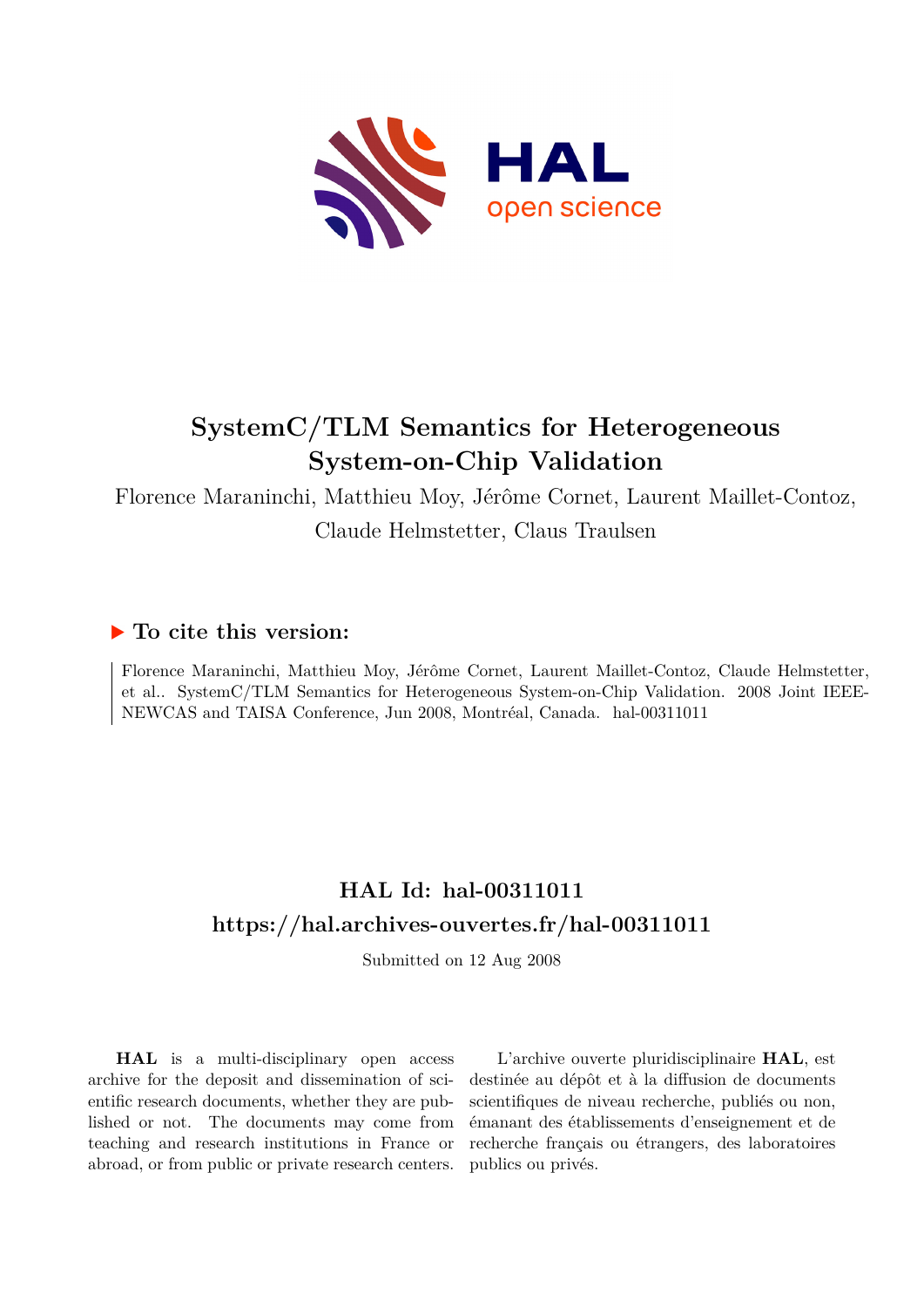

## **SystemC/TLM Semantics for Heterogeneous System-on-Chip Validation**

Florence Maraninchi, Matthieu Moy, Jérôme Cornet, Laurent Maillet-Contoz, Claude Helmstetter, Claus Traulsen

### **To cite this version:**

Florence Maraninchi, Matthieu Moy, Jérôme Cornet, Laurent Maillet-Contoz, Claude Helmstetter, et al.. SystemC/TLM Semantics for Heterogeneous System-on-Chip Validation. 2008 Joint IEEE-NEWCAS and TAISA Conference, Jun 2008, Montréal, Canada. hal-00311011

## **HAL Id: hal-00311011 <https://hal.archives-ouvertes.fr/hal-00311011>**

Submitted on 12 Aug 2008

**HAL** is a multi-disciplinary open access archive for the deposit and dissemination of scientific research documents, whether they are published or not. The documents may come from teaching and research institutions in France or abroad, or from public or private research centers.

L'archive ouverte pluridisciplinaire **HAL**, est destinée au dépôt et à la diffusion de documents scientifiques de niveau recherche, publiés ou non, émanant des établissements d'enseignement et de recherche français ou étrangers, des laboratoires publics ou privés.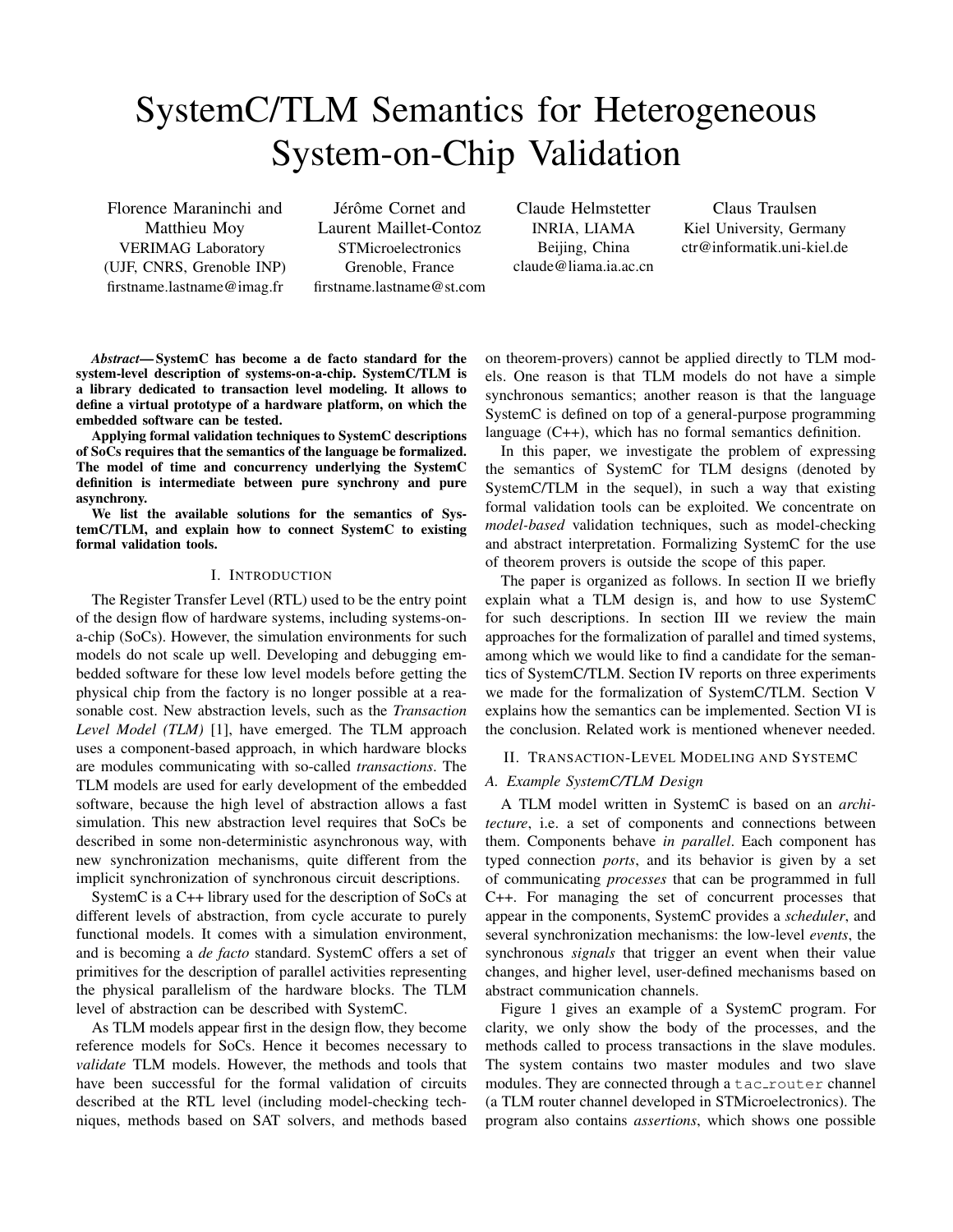# SystemC/TLM Semantics for Heterogeneous System-on-Chip Validation

Florence Maraninchi and Matthieu Moy VERIMAG Laboratory (UJF, CNRS, Grenoble INP) firstname.lastname@imag.fr

Jérôme Cornet and Laurent Maillet-Contoz **STMicroelectronics** Grenoble, France firstname.lastname@st.com

Claude Helmstetter INRIA, LIAMA Beijing, China claude@liama.ia.ac.cn

Claus Traulsen Kiel University, Germany ctr@informatik.uni-kiel.de

*Abstract*— SystemC has become a de facto standard for the system-level description of systems-on-a-chip. SystemC/TLM is a library dedicated to transaction level modeling. It allows to define a virtual prototype of a hardware platform, on which the embedded software can be tested.

Applying formal validation techniques to SystemC descriptions of SoCs requires that the semantics of the language be formalized. The model of time and concurrency underlying the SystemC definition is intermediate between pure synchrony and pure asynchrony.

We list the available solutions for the semantics of SystemC/TLM, and explain how to connect SystemC to existing formal validation tools.

#### I. INTRODUCTION

The Register Transfer Level (RTL) used to be the entry point of the design flow of hardware systems, including systems-ona-chip (SoCs). However, the simulation environments for such models do not scale up well. Developing and debugging embedded software for these low level models before getting the physical chip from the factory is no longer possible at a reasonable cost. New abstraction levels, such as the *Transaction Level Model (TLM)* [1], have emerged. The TLM approach uses a component-based approach, in which hardware blocks are modules communicating with so-called *transactions*. The TLM models are used for early development of the embedded software, because the high level of abstraction allows a fast simulation. This new abstraction level requires that SoCs be described in some non-deterministic asynchronous way, with new synchronization mechanisms, quite different from the implicit synchronization of synchronous circuit descriptions.

SystemC is a C++ library used for the description of SoCs at different levels of abstraction, from cycle accurate to purely functional models. It comes with a simulation environment, and is becoming a *de facto* standard. SystemC offers a set of primitives for the description of parallel activities representing the physical parallelism of the hardware blocks. The TLM level of abstraction can be described with SystemC.

As TLM models appear first in the design flow, they become reference models for SoCs. Hence it becomes necessary to *validate* TLM models. However, the methods and tools that have been successful for the formal validation of circuits described at the RTL level (including model-checking techniques, methods based on SAT solvers, and methods based on theorem-provers) cannot be applied directly to TLM models. One reason is that TLM models do not have a simple synchronous semantics; another reason is that the language SystemC is defined on top of a general-purpose programming language (C++), which has no formal semantics definition.

In this paper, we investigate the problem of expressing the semantics of SystemC for TLM designs (denoted by SystemC/TLM in the sequel), in such a way that existing formal validation tools can be exploited. We concentrate on *model-based* validation techniques, such as model-checking and abstract interpretation. Formalizing SystemC for the use of theorem provers is outside the scope of this paper.

The paper is organized as follows. In section II we briefly explain what a TLM design is, and how to use SystemC for such descriptions. In section III we review the main approaches for the formalization of parallel and timed systems, among which we would like to find a candidate for the semantics of SystemC/TLM. Section IV reports on three experiments we made for the formalization of SystemC/TLM. Section V explains how the semantics can be implemented. Section VI is the conclusion. Related work is mentioned whenever needed.

#### II. TRANSACTION-LEVEL MODELING AND SYSTEMC

#### *A. Example SystemC/TLM Design*

A TLM model written in SystemC is based on an *architecture*, i.e. a set of components and connections between them. Components behave *in parallel*. Each component has typed connection *ports*, and its behavior is given by a set of communicating *processes* that can be programmed in full C++. For managing the set of concurrent processes that appear in the components, SystemC provides a *scheduler*, and several synchronization mechanisms: the low-level *events*, the synchronous *signals* that trigger an event when their value changes, and higher level, user-defined mechanisms based on abstract communication channels.

Figure 1 gives an example of a SystemC program. For clarity, we only show the body of the processes, and the methods called to process transactions in the slave modules. The system contains two master modules and two slave modules. They are connected through a tac\_router channel (a TLM router channel developed in STMicroelectronics). The program also contains *assertions*, which shows one possible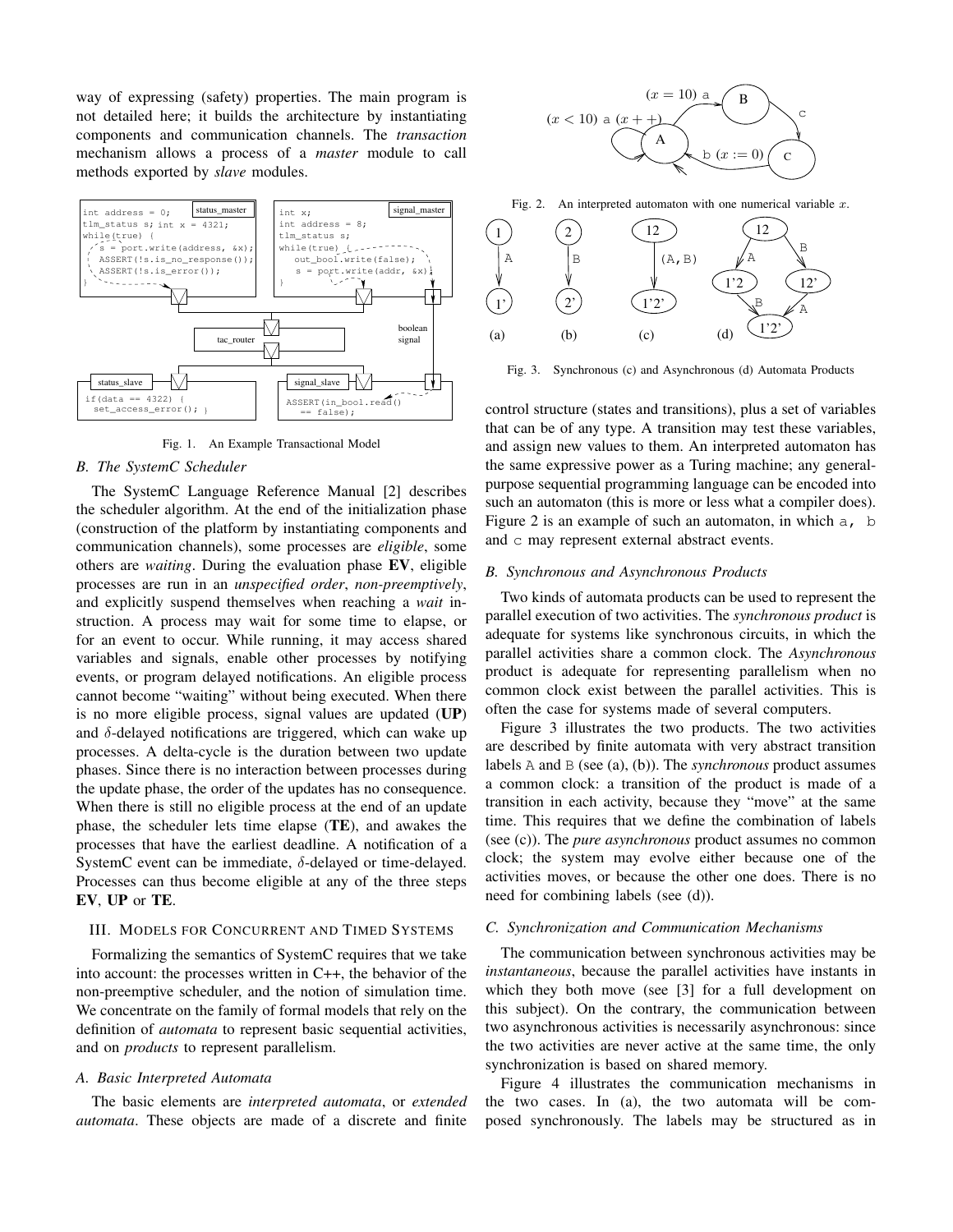way of expressing (safety) properties. The main program is not detailed here; it builds the architecture by instantiating components and communication channels. The *transaction* mechanism allows a process of a *master* module to call methods exported by *slave* modules.



Fig. 1. An Example Transactional Model

#### *B. The SystemC Scheduler*

The SystemC Language Reference Manual [2] describes the scheduler algorithm. At the end of the initialization phase (construction of the platform by instantiating components and communication channels), some processes are *eligible*, some others are *waiting*. During the evaluation phase EV, eligible processes are run in an *unspecified order*, *non-preemptively*, and explicitly suspend themselves when reaching a *wait* instruction. A process may wait for some time to elapse, or for an event to occur. While running, it may access shared variables and signals, enable other processes by notifying events, or program delayed notifications. An eligible process cannot become "waiting" without being executed. When there is no more eligible process, signal values are updated (UP) and  $\delta$ -delayed notifications are triggered, which can wake up processes. A delta-cycle is the duration between two update phases. Since there is no interaction between processes during the update phase, the order of the updates has no consequence. When there is still no eligible process at the end of an update phase, the scheduler lets time elapse (TE), and awakes the processes that have the earliest deadline. A notification of a SystemC event can be immediate, δ-delayed or time-delayed. Processes can thus become eligible at any of the three steps EV, UP or TE.

#### III. MODELS FOR CONCURRENT AND TIMED SYSTEMS

Formalizing the semantics of SystemC requires that we take into account: the processes written in C++, the behavior of the non-preemptive scheduler, and the notion of simulation time. We concentrate on the family of formal models that rely on the definition of *automata* to represent basic sequential activities, and on *products* to represent parallelism.

#### *A. Basic Interpreted Automata*

The basic elements are *interpreted automata*, or *extended automata*. These objects are made of a discrete and finite



Fig. 2. An interpreted automaton with one numerical variable  $x$ .



Fig. 3. Synchronous (c) and Asynchronous (d) Automata Products

control structure (states and transitions), plus a set of variables that can be of any type. A transition may test these variables, and assign new values to them. An interpreted automaton has the same expressive power as a Turing machine; any generalpurpose sequential programming language can be encoded into such an automaton (this is more or less what a compiler does). Figure 2 is an example of such an automaton, in which a, b and c may represent external abstract events.

#### *B. Synchronous and Asynchronous Products*

Two kinds of automata products can be used to represent the parallel execution of two activities. The *synchronous product* is adequate for systems like synchronous circuits, in which the parallel activities share a common clock. The *Asynchronous* product is adequate for representing parallelism when no common clock exist between the parallel activities. This is often the case for systems made of several computers.

Figure 3 illustrates the two products. The two activities are described by finite automata with very abstract transition labels A and B (see (a), (b)). The *synchronous* product assumes a common clock: a transition of the product is made of a transition in each activity, because they "move" at the same time. This requires that we define the combination of labels (see (c)). The *pure asynchronous* product assumes no common clock; the system may evolve either because one of the activities moves, or because the other one does. There is no need for combining labels (see (d)).

#### *C. Synchronization and Communication Mechanisms*

The communication between synchronous activities may be *instantaneous*, because the parallel activities have instants in which they both move (see [3] for a full development on this subject). On the contrary, the communication between two asynchronous activities is necessarily asynchronous: since the two activities are never active at the same time, the only synchronization is based on shared memory.

Figure 4 illustrates the communication mechanisms in the two cases. In (a), the two automata will be composed synchronously. The labels may be structured as in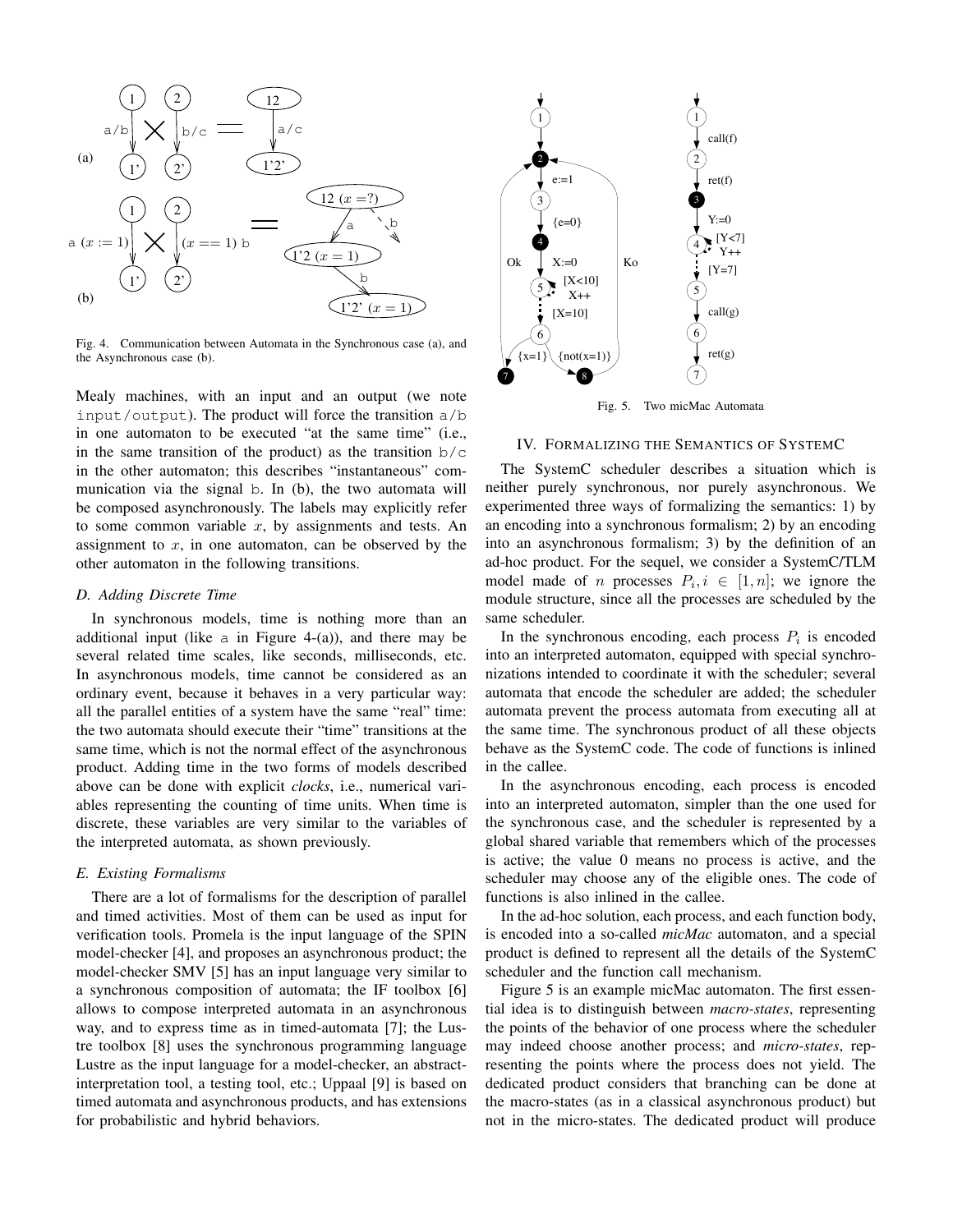

Fig. 4. Communication between Automata in the Synchronous case (a), and the Asynchronous case (b).

Mealy machines, with an input and an output (we note input/output). The product will force the transition  $a/b$ in one automaton to be executed "at the same time" (i.e., in the same transition of the product) as the transition  $b/c$ in the other automaton; this describes "instantaneous" communication via the signal b. In (b), the two automata will be composed asynchronously. The labels may explicitly refer to some common variable  $x$ , by assignments and tests. An assignment to  $x$ , in one automaton, can be observed by the other automaton in the following transitions.

#### *D. Adding Discrete Time*

In synchronous models, time is nothing more than an additional input (like  $\alpha$  in Figure 4-(a)), and there may be several related time scales, like seconds, milliseconds, etc. In asynchronous models, time cannot be considered as an ordinary event, because it behaves in a very particular way: all the parallel entities of a system have the same "real" time: the two automata should execute their "time" transitions at the same time, which is not the normal effect of the asynchronous product. Adding time in the two forms of models described above can be done with explicit *clocks*, i.e., numerical variables representing the counting of time units. When time is discrete, these variables are very similar to the variables of the interpreted automata, as shown previously.

#### *E. Existing Formalisms*

There are a lot of formalisms for the description of parallel and timed activities. Most of them can be used as input for verification tools. Promela is the input language of the SPIN model-checker [4], and proposes an asynchronous product; the model-checker SMV [5] has an input language very similar to a synchronous composition of automata; the IF toolbox [6] allows to compose interpreted automata in an asynchronous way, and to express time as in timed-automata [7]; the Lustre toolbox [8] uses the synchronous programming language Lustre as the input language for a model-checker, an abstractinterpretation tool, a testing tool, etc.; Uppaal [9] is based on timed automata and asynchronous products, and has extensions for probabilistic and hybrid behaviors.



Fig. 5. Two micMac Automata

#### IV. FORMALIZING THE SEMANTICS OF SYSTEMC

The SystemC scheduler describes a situation which is neither purely synchronous, nor purely asynchronous. We experimented three ways of formalizing the semantics: 1) by an encoding into a synchronous formalism; 2) by an encoding into an asynchronous formalism; 3) by the definition of an ad-hoc product. For the sequel, we consider a SystemC/TLM model made of *n* processes  $P_i, i \in [1, n]$ ; we ignore the module structure, since all the processes are scheduled by the same scheduler.

In the synchronous encoding, each process  $P_i$  is encoded into an interpreted automaton, equipped with special synchronizations intended to coordinate it with the scheduler; several automata that encode the scheduler are added; the scheduler automata prevent the process automata from executing all at the same time. The synchronous product of all these objects behave as the SystemC code. The code of functions is inlined in the callee.

In the asynchronous encoding, each process is encoded into an interpreted automaton, simpler than the one used for the synchronous case, and the scheduler is represented by a global shared variable that remembers which of the processes is active; the value 0 means no process is active, and the scheduler may choose any of the eligible ones. The code of functions is also inlined in the callee.

In the ad-hoc solution, each process, and each function body, is encoded into a so-called *micMac* automaton, and a special product is defined to represent all the details of the SystemC scheduler and the function call mechanism.

Figure 5 is an example micMac automaton. The first essential idea is to distinguish between *macro-states*, representing the points of the behavior of one process where the scheduler may indeed choose another process; and *micro-states*, representing the points where the process does not yield. The dedicated product considers that branching can be done at the macro-states (as in a classical asynchronous product) but not in the micro-states. The dedicated product will produce